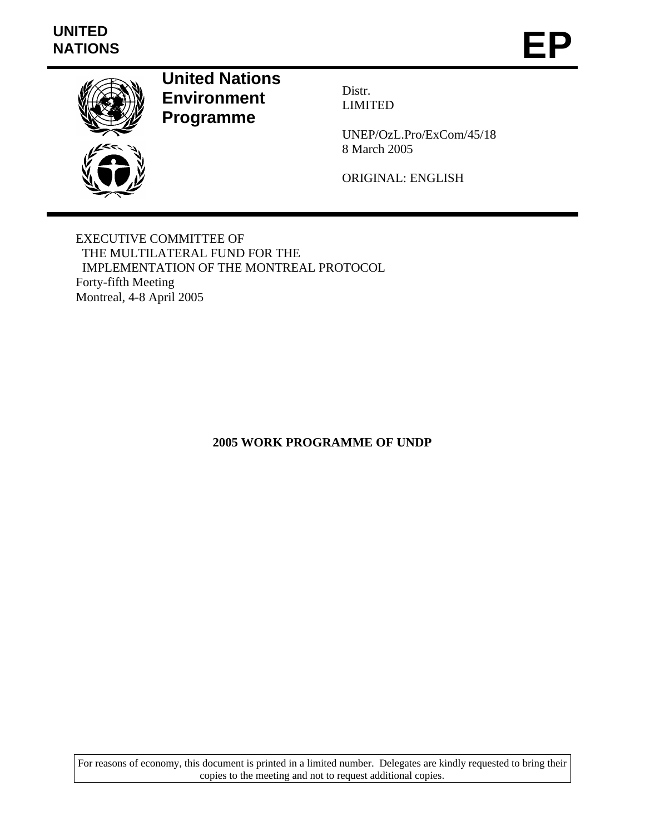# **UNITED**  UNITED<br>NATIONS **EP**



**United Nations Environment Programme** 

Distr. LIMITED

UNEP/OzL.Pro/ExCom/45/18 8 March 2005

ORIGINAL: ENGLISH

EXECUTIVE COMMITTEE OF THE MULTILATERAL FUND FOR THE IMPLEMENTATION OF THE MONTREAL PROTOCOL Forty-fifth Meeting Montreal, 4-8 April 2005

**2005 WORK PROGRAMME OF UNDP** 

For reasons of economy, this document is printed in a limited number. Delegates are kindly requested to bring their copies to the meeting and not to request additional copies.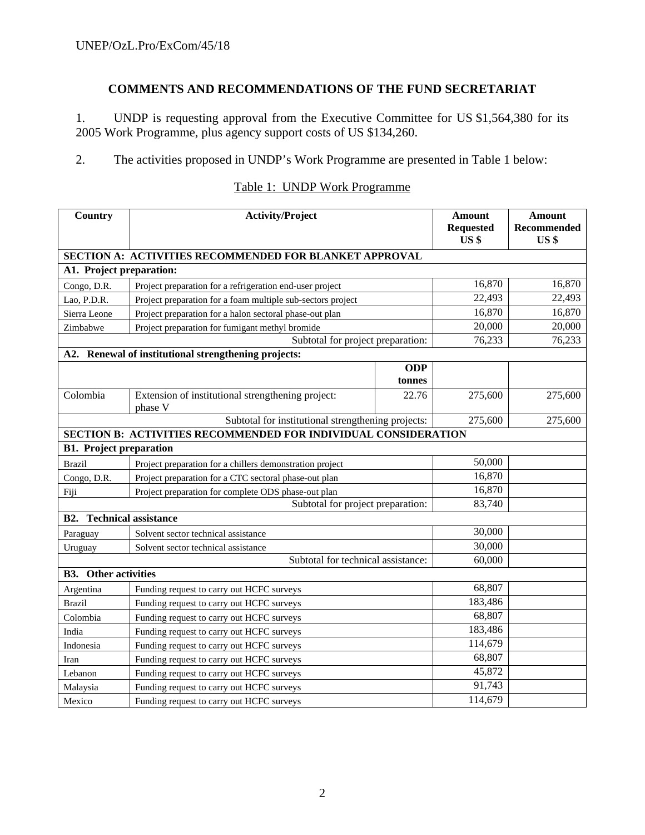# **COMMENTS AND RECOMMENDATIONS OF THE FUND SECRETARIAT**

1. UNDP is requesting approval from the Executive Committee for US \$1,564,380 for its 2005 Work Programme, plus agency support costs of US \$134,260.

2. The activities proposed in UNDP's Work Programme are presented in Table 1 below:

| Country                                            | <b>Activity/Project</b>                                               |            | <b>Amount</b><br><b>Requested</b><br>US <sub>3</sub> | <b>Amount</b><br>Recommended<br>US <sub>3</sub> |  |
|----------------------------------------------------|-----------------------------------------------------------------------|------------|------------------------------------------------------|-------------------------------------------------|--|
|                                                    | SECTION A: ACTIVITIES RECOMMENDED FOR BLANKET APPROVAL                |            |                                                      |                                                 |  |
| A1. Project preparation:                           |                                                                       |            |                                                      |                                                 |  |
| Congo, D.R.                                        | Project preparation for a refrigeration end-user project              |            | 16,870                                               | 16,870                                          |  |
| Lao, P.D.R.                                        | Project preparation for a foam multiple sub-sectors project           |            | 22,493                                               | 22,493                                          |  |
| Sierra Leone                                       | Project preparation for a halon sectoral phase-out plan               |            | 16,870                                               | 16,870                                          |  |
| Zimbabwe                                           | Project preparation for fumigant methyl bromide                       |            | 20,000                                               | 20,000                                          |  |
|                                                    | Subtotal for project preparation:                                     |            | 76,233                                               | 76,233                                          |  |
|                                                    | A2. Renewal of institutional strengthening projects:                  |            |                                                      |                                                 |  |
|                                                    |                                                                       | <b>ODP</b> |                                                      |                                                 |  |
|                                                    |                                                                       | tonnes     |                                                      |                                                 |  |
| Colombia                                           | Extension of institutional strengthening project:<br>phase V          | 22.76      | 275,600                                              | 275,600                                         |  |
| Subtotal for institutional strengthening projects: |                                                                       |            | 275,600                                              | 275,600                                         |  |
|                                                    | <b>SECTION B: ACTIVITIES RECOMMENDED FOR INDIVIDUAL CONSIDERATION</b> |            |                                                      |                                                 |  |
| <b>B1. Project preparation</b>                     |                                                                       |            |                                                      |                                                 |  |
| <b>Brazil</b>                                      | Project preparation for a chillers demonstration project              |            | 50,000                                               |                                                 |  |
| Congo, D.R.                                        | Project preparation for a CTC sectoral phase-out plan                 |            | 16,870                                               |                                                 |  |
| Fiji                                               | Project preparation for complete ODS phase-out plan                   |            | 16,870                                               |                                                 |  |
|                                                    | Subtotal for project preparation:                                     |            | 83,740                                               |                                                 |  |
| <b>B2.</b>                                         | <b>Technical assistance</b>                                           |            |                                                      |                                                 |  |
| Paraguay                                           | Solvent sector technical assistance                                   |            | 30,000                                               |                                                 |  |
| Uruguay                                            | Solvent sector technical assistance                                   |            | 30,000                                               |                                                 |  |
|                                                    | Subtotal for technical assistance:                                    |            | 60,000                                               |                                                 |  |
| <b>B3.</b> Other activities                        |                                                                       |            |                                                      |                                                 |  |
| Argentina                                          | Funding request to carry out HCFC surveys                             |            | 68,807                                               |                                                 |  |
| <b>Brazil</b>                                      | Funding request to carry out HCFC surveys                             |            | 183,486                                              |                                                 |  |
| Colombia                                           | Funding request to carry out HCFC surveys                             |            | 68,807                                               |                                                 |  |
| India                                              | Funding request to carry out HCFC surveys                             |            | 183,486                                              |                                                 |  |
| Indonesia                                          | Funding request to carry out HCFC surveys                             |            | 114,679                                              |                                                 |  |
| Iran                                               | Funding request to carry out HCFC surveys                             |            | 68,807                                               |                                                 |  |
| Lebanon                                            | Funding request to carry out HCFC surveys                             |            | 45,872                                               |                                                 |  |
| Malaysia                                           | Funding request to carry out HCFC surveys                             |            | 91,743                                               |                                                 |  |
| Mexico                                             | Funding request to carry out HCFC surveys                             |            | 114,679                                              |                                                 |  |

# Table 1: UNDP Work Programme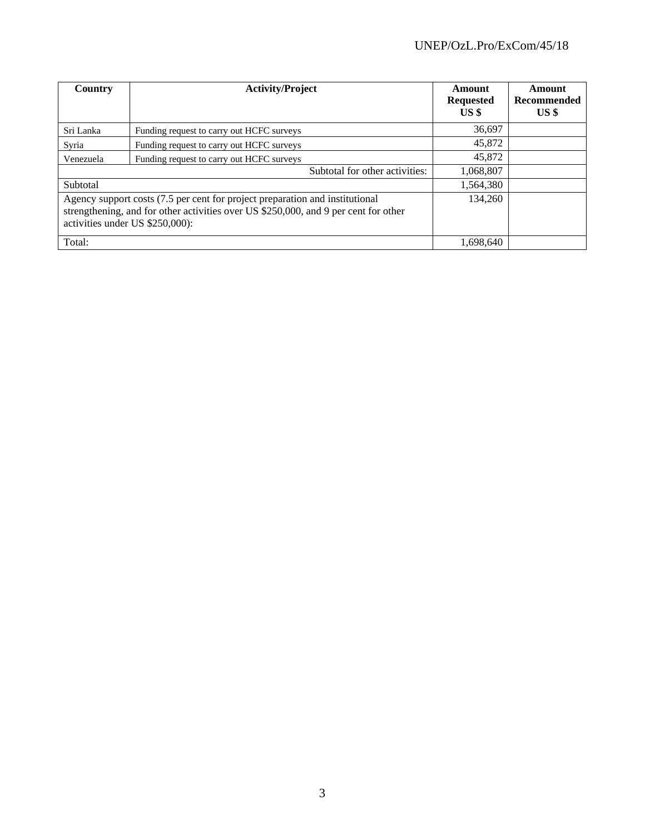| Country                                                                                                                                                                                                | <b>Activity/Project</b>                   | Amount<br><b>Requested</b><br>US \$ | Amount<br>Recommended<br>US <sup>§</sup> |
|--------------------------------------------------------------------------------------------------------------------------------------------------------------------------------------------------------|-------------------------------------------|-------------------------------------|------------------------------------------|
| Sri Lanka                                                                                                                                                                                              | Funding request to carry out HCFC surveys | 36,697                              |                                          |
| Syria                                                                                                                                                                                                  | Funding request to carry out HCFC surveys | 45,872                              |                                          |
| Venezuela                                                                                                                                                                                              | Funding request to carry out HCFC surveys | 45,872                              |                                          |
|                                                                                                                                                                                                        | Subtotal for other activities:            | 1,068,807                           |                                          |
| Subtotal                                                                                                                                                                                               |                                           | 1,564,380                           |                                          |
| Agency support costs (7.5 per cent for project preparation and institutional<br>strengthening, and for other activities over US \$250,000, and 9 per cent for other<br>activities under US \$250,000): |                                           | 134.260                             |                                          |
| Total:                                                                                                                                                                                                 |                                           | 1,698,640                           |                                          |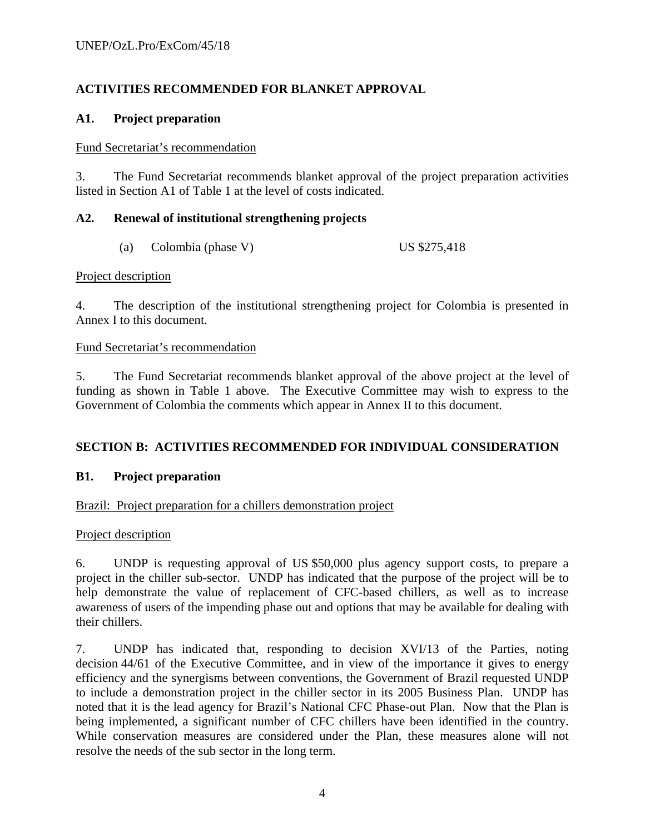# **ACTIVITIES RECOMMENDED FOR BLANKET APPROVAL**

#### **A1. Project preparation**

#### Fund Secretariat's recommendation

3. The Fund Secretariat recommends blanket approval of the project preparation activities listed in Section A1 of Table 1 at the level of costs indicated.

# **A2. Renewal of institutional strengthening projects**

(a) Colombia (phase V) US \$275,418

#### Project description

4. The description of the institutional strengthening project for Colombia is presented in Annex I to this document.

#### Fund Secretariat's recommendation

5. The Fund Secretariat recommends blanket approval of the above project at the level of funding as shown in Table 1 above. The Executive Committee may wish to express to the Government of Colombia the comments which appear in Annex II to this document.

# **SECTION B: ACTIVITIES RECOMMENDED FOR INDIVIDUAL CONSIDERATION**

# **B1. Project preparation**

#### Brazil: Project preparation for a chillers demonstration project

#### Project description

6. UNDP is requesting approval of US \$50,000 plus agency support costs, to prepare a project in the chiller sub-sector. UNDP has indicated that the purpose of the project will be to help demonstrate the value of replacement of CFC-based chillers, as well as to increase awareness of users of the impending phase out and options that may be available for dealing with their chillers.

7. UNDP has indicated that, responding to decision XVI/13 of the Parties, noting decision 44/61 of the Executive Committee, and in view of the importance it gives to energy efficiency and the synergisms between conventions, the Government of Brazil requested UNDP to include a demonstration project in the chiller sector in its 2005 Business Plan. UNDP has noted that it is the lead agency for Brazil's National CFC Phase-out Plan. Now that the Plan is being implemented, a significant number of CFC chillers have been identified in the country. While conservation measures are considered under the Plan, these measures alone will not resolve the needs of the sub sector in the long term.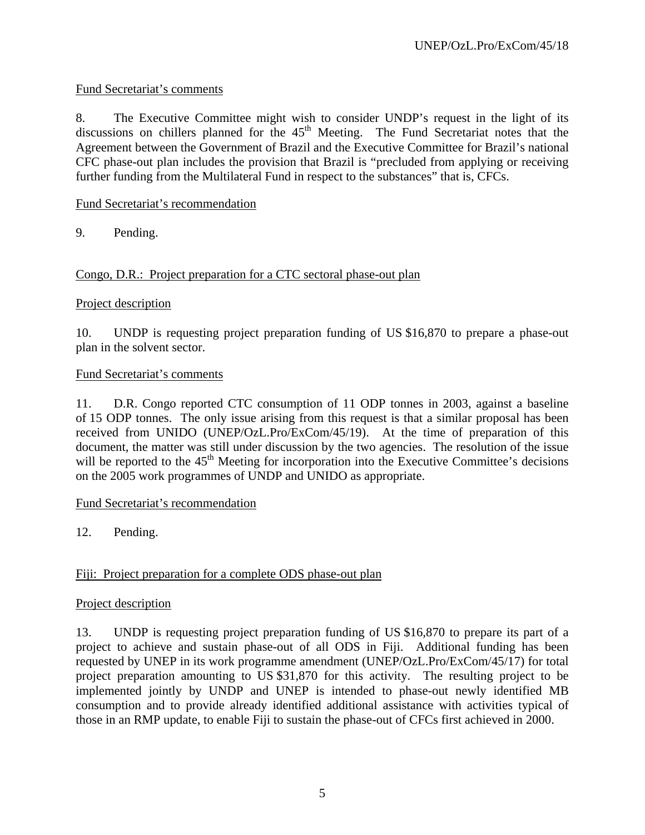# Fund Secretariat's comments

8. The Executive Committee might wish to consider UNDP's request in the light of its discussions on chillers planned for the  $45<sup>th</sup>$  Meeting. The Fund Secretariat notes that the Agreement between the Government of Brazil and the Executive Committee for Brazil's national CFC phase-out plan includes the provision that Brazil is "precluded from applying or receiving further funding from the Multilateral Fund in respect to the substances" that is, CFCs.

# Fund Secretariat's recommendation

9. Pending.

# Congo, D.R.: Project preparation for a CTC sectoral phase-out plan

#### Project description

10. UNDP is requesting project preparation funding of US \$16,870 to prepare a phase-out plan in the solvent sector.

#### Fund Secretariat's comments

11. D.R. Congo reported CTC consumption of 11 ODP tonnes in 2003, against a baseline of 15 ODP tonnes. The only issue arising from this request is that a similar proposal has been received from UNIDO (UNEP/OzL.Pro/ExCom/45/19). At the time of preparation of this document, the matter was still under discussion by the two agencies. The resolution of the issue will be reported to the  $45<sup>th</sup>$  Meeting for incorporation into the Executive Committee's decisions on the 2005 work programmes of UNDP and UNIDO as appropriate.

#### Fund Secretariat's recommendation

12. Pending.

# Fiji: Project preparation for a complete ODS phase-out plan

# Project description

13. UNDP is requesting project preparation funding of US \$16,870 to prepare its part of a project to achieve and sustain phase-out of all ODS in Fiji. Additional funding has been requested by UNEP in its work programme amendment (UNEP/OzL.Pro/ExCom/45/17) for total project preparation amounting to US \$31,870 for this activity. The resulting project to be implemented jointly by UNDP and UNEP is intended to phase-out newly identified MB consumption and to provide already identified additional assistance with activities typical of those in an RMP update, to enable Fiji to sustain the phase-out of CFCs first achieved in 2000.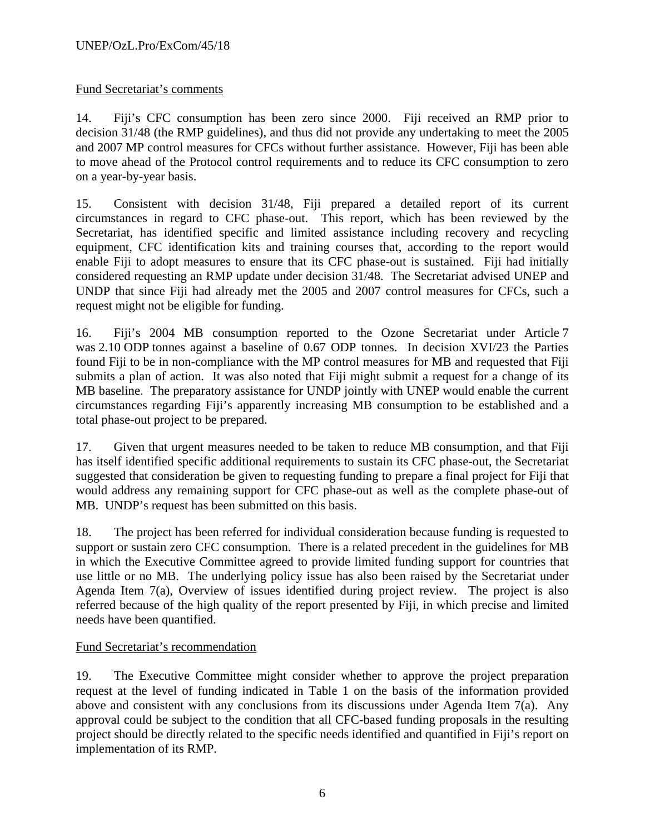# Fund Secretariat's comments

14. Fiji's CFC consumption has been zero since 2000. Fiji received an RMP prior to decision 31/48 (the RMP guidelines), and thus did not provide any undertaking to meet the 2005 and 2007 MP control measures for CFCs without further assistance. However, Fiji has been able to move ahead of the Protocol control requirements and to reduce its CFC consumption to zero on a year-by-year basis.

15. Consistent with decision 31/48, Fiji prepared a detailed report of its current circumstances in regard to CFC phase-out. This report, which has been reviewed by the Secretariat, has identified specific and limited assistance including recovery and recycling equipment, CFC identification kits and training courses that, according to the report would enable Fiji to adopt measures to ensure that its CFC phase-out is sustained. Fiji had initially considered requesting an RMP update under decision 31/48. The Secretariat advised UNEP and UNDP that since Fiji had already met the 2005 and 2007 control measures for CFCs, such a request might not be eligible for funding.

16. Fiji's 2004 MB consumption reported to the Ozone Secretariat under Article 7 was 2.10 ODP tonnes against a baseline of 0.67 ODP tonnes. In decision XVI/23 the Parties found Fiji to be in non-compliance with the MP control measures for MB and requested that Fiji submits a plan of action. It was also noted that Fiji might submit a request for a change of its MB baseline. The preparatory assistance for UNDP jointly with UNEP would enable the current circumstances regarding Fiji's apparently increasing MB consumption to be established and a total phase-out project to be prepared.

17. Given that urgent measures needed to be taken to reduce MB consumption, and that Fiji has itself identified specific additional requirements to sustain its CFC phase-out, the Secretariat suggested that consideration be given to requesting funding to prepare a final project for Fiji that would address any remaining support for CFC phase-out as well as the complete phase-out of MB. UNDP's request has been submitted on this basis.

18. The project has been referred for individual consideration because funding is requested to support or sustain zero CFC consumption. There is a related precedent in the guidelines for MB in which the Executive Committee agreed to provide limited funding support for countries that use little or no MB. The underlying policy issue has also been raised by the Secretariat under Agenda Item 7(a), Overview of issues identified during project review. The project is also referred because of the high quality of the report presented by Fiji, in which precise and limited needs have been quantified.

# Fund Secretariat's recommendation

19. The Executive Committee might consider whether to approve the project preparation request at the level of funding indicated in Table 1 on the basis of the information provided above and consistent with any conclusions from its discussions under Agenda Item 7(a). Any approval could be subject to the condition that all CFC-based funding proposals in the resulting project should be directly related to the specific needs identified and quantified in Fiji's report on implementation of its RMP.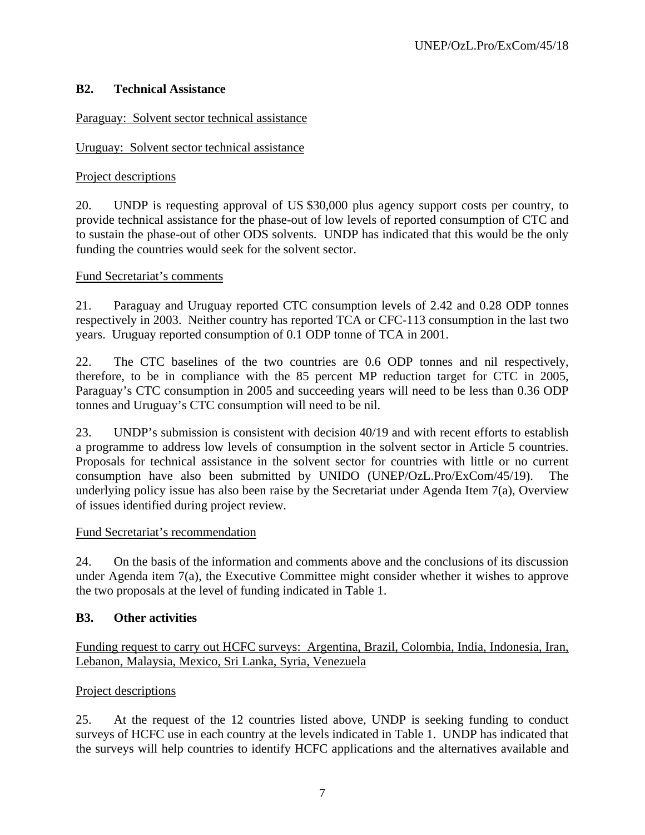# **B2. Technical Assistance**

Paraguay: Solvent sector technical assistance

# Uruguay: Solvent sector technical assistance

# Project descriptions

20. UNDP is requesting approval of US \$30,000 plus agency support costs per country, to provide technical assistance for the phase-out of low levels of reported consumption of CTC and to sustain the phase-out of other ODS solvents. UNDP has indicated that this would be the only funding the countries would seek for the solvent sector.

# Fund Secretariat's comments

21. Paraguay and Uruguay reported CTC consumption levels of 2.42 and 0.28 ODP tonnes respectively in 2003. Neither country has reported TCA or CFC-113 consumption in the last two years. Uruguay reported consumption of 0.1 ODP tonne of TCA in 2001.

22. The CTC baselines of the two countries are 0.6 ODP tonnes and nil respectively, therefore, to be in compliance with the 85 percent MP reduction target for CTC in 2005, Paraguay's CTC consumption in 2005 and succeeding years will need to be less than 0.36 ODP tonnes and Uruguay's CTC consumption will need to be nil.

23. UNDP's submission is consistent with decision 40/19 and with recent efforts to establish a programme to address low levels of consumption in the solvent sector in Article 5 countries. Proposals for technical assistance in the solvent sector for countries with little or no current consumption have also been submitted by UNIDO (UNEP/OzL.Pro/ExCom/45/19). underlying policy issue has also been raise by the Secretariat under Agenda Item 7(a), Overview of issues identified during project review.

# Fund Secretariat's recommendation

24. On the basis of the information and comments above and the conclusions of its discussion under Agenda item 7(a), the Executive Committee might consider whether it wishes to approve the two proposals at the level of funding indicated in Table 1.

# **B3. Other activities**

Funding request to carry out HCFC surveys: Argentina, Brazil, Colombia, India, Indonesia, Iran, Lebanon, Malaysia, Mexico, Sri Lanka, Syria, Venezuela

# Project descriptions

25. At the request of the 12 countries listed above, UNDP is seeking funding to conduct surveys of HCFC use in each country at the levels indicated in Table 1. UNDP has indicated that the surveys will help countries to identify HCFC applications and the alternatives available and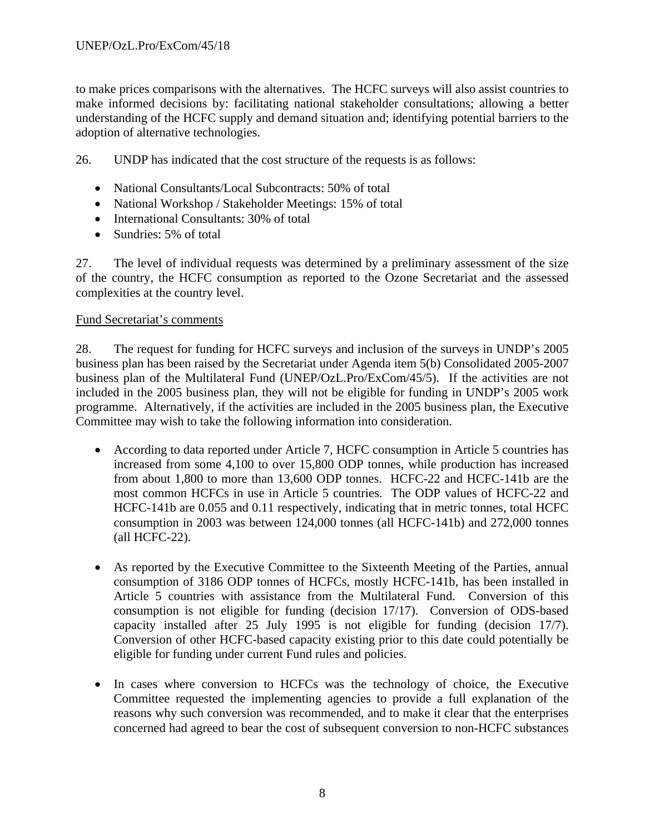to make prices comparisons with the alternatives. The HCFC surveys will also assist countries to make informed decisions by: facilitating national stakeholder consultations; allowing a better understanding of the HCFC supply and demand situation and; identifying potential barriers to the adoption of alternative technologies.

26. UNDP has indicated that the cost structure of the requests is as follows:

- National Consultants/Local Subcontracts: 50% of total
- National Workshop / Stakeholder Meetings: 15% of total
- International Consultants: 30% of total
- Sundries: 5% of total

27. The level of individual requests was determined by a preliminary assessment of the size of the country, the HCFC consumption as reported to the Ozone Secretariat and the assessed complexities at the country level.

#### Fund Secretariat's comments

28. The request for funding for HCFC surveys and inclusion of the surveys in UNDP's 2005 business plan has been raised by the Secretariat under Agenda item 5(b) Consolidated 2005-2007 business plan of the Multilateral Fund (UNEP/OzL.Pro/ExCom/45/5). If the activities are not included in the 2005 business plan, they will not be eligible for funding in UNDP's 2005 work programme. Alternatively, if the activities are included in the 2005 business plan, the Executive Committee may wish to take the following information into consideration.

- According to data reported under Article 7, HCFC consumption in Article 5 countries has increased from some 4,100 to over 15,800 ODP tonnes, while production has increased from about 1,800 to more than 13,600 ODP tonnes. HCFC-22 and HCFC-141b are the most common HCFCs in use in Article 5 countries. The ODP values of HCFC-22 and HCFC-141b are 0.055 and 0.11 respectively, indicating that in metric tonnes, total HCFC consumption in 2003 was between 124,000 tonnes (all HCFC-141b) and 272,000 tonnes (all HCFC-22).
- As reported by the Executive Committee to the Sixteenth Meeting of the Parties, annual consumption of 3186 ODP tonnes of HCFCs, mostly HCFC-141b, has been installed in Article 5 countries with assistance from the Multilateral Fund. Conversion of this consumption is not eligible for funding (decision 17/17). Conversion of ODS-based capacity installed after 25 July 1995 is not eligible for funding (decision 17/7). Conversion of other HCFC-based capacity existing prior to this date could potentially be eligible for funding under current Fund rules and policies.
- In cases where conversion to HCFCs was the technology of choice, the Executive Committee requested the implementing agencies to provide a full explanation of the reasons why such conversion was recommended, and to make it clear that the enterprises concerned had agreed to bear the cost of subsequent conversion to non-HCFC substances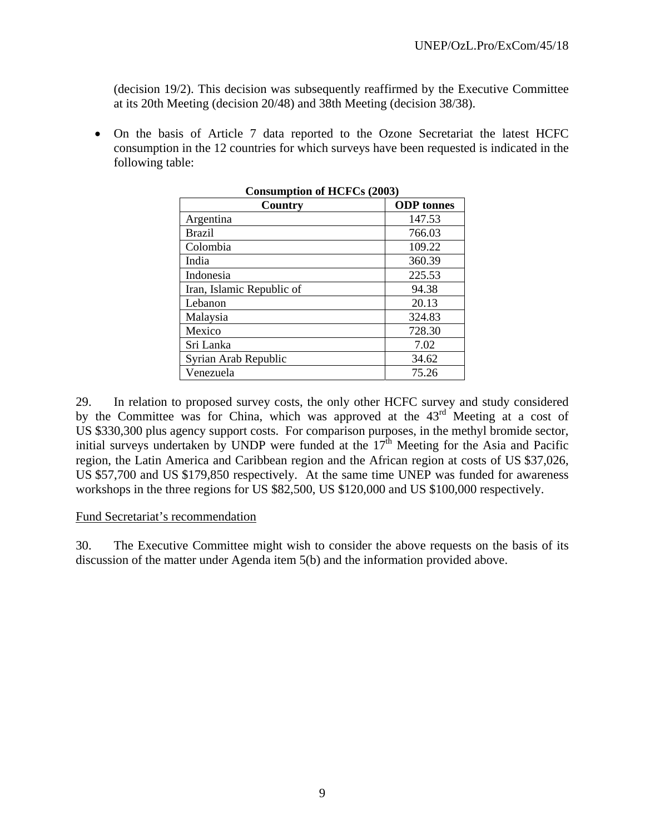(decision 19/2). This decision was subsequently reaffirmed by the Executive Committee at its 20th Meeting (decision 20/48) and 38th Meeting (decision 38/38).

• On the basis of Article 7 data reported to the Ozone Secretariat the latest HCFC consumption in the 12 countries for which surveys have been requested is indicated in the following table:

| Country                   | <b>ODP</b> tonnes |
|---------------------------|-------------------|
| Argentina                 | 147.53            |
| <b>Brazil</b>             | 766.03            |
| Colombia                  | 109.22            |
| India                     | 360.39            |
| Indonesia                 | 225.53            |
| Iran, Islamic Republic of | 94.38             |
| Lebanon                   | 20.13             |
| Malaysia                  | 324.83            |
| Mexico                    | 728.30            |
| Sri Lanka                 | 7.02              |
| Syrian Arab Republic      | 34.62             |
| Venezuela                 | 75.26             |

**Consumption of HCFCs (2003)** 

29. In relation to proposed survey costs, the only other HCFC survey and study considered by the Committee was for China, which was approved at the  $43<sup>rd</sup>$  Meeting at a cost of US \$330,300 plus agency support costs. For comparison purposes, in the methyl bromide sector, initial surveys undertaken by UNDP were funded at the  $17<sup>th</sup>$  Meeting for the Asia and Pacific region, the Latin America and Caribbean region and the African region at costs of US \$37,026, US \$57,700 and US \$179,850 respectively. At the same time UNEP was funded for awareness workshops in the three regions for US \$82,500, US \$120,000 and US \$100,000 respectively.

#### Fund Secretariat's recommendation

30. The Executive Committee might wish to consider the above requests on the basis of its discussion of the matter under Agenda item 5(b) and the information provided above.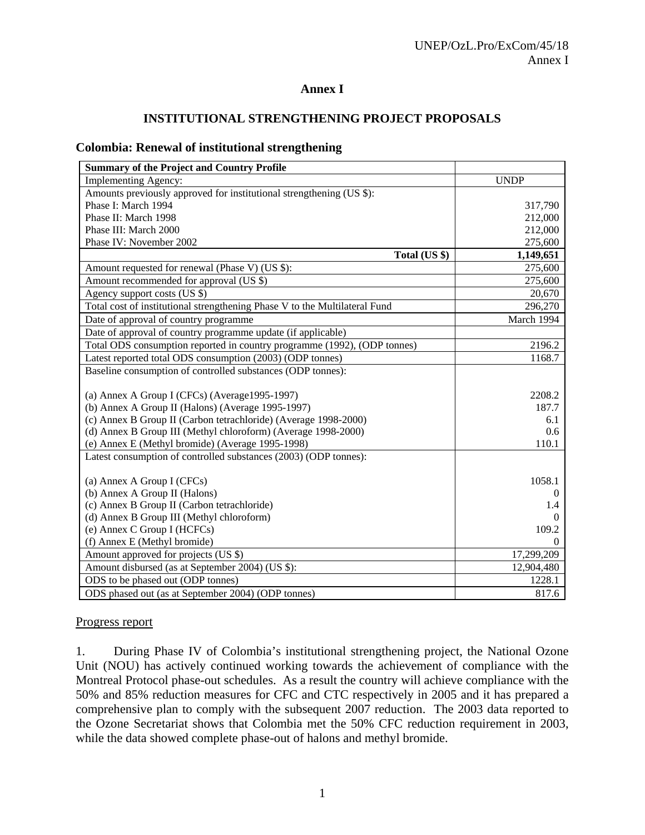#### **Annex I**

#### **INSTITUTIONAL STRENGTHENING PROJECT PROPOSALS**

#### **Colombia: Renewal of institutional strengthening**

| <b>UNDP</b><br>Implementing Agency:<br>Amounts previously approved for institutional strengthening (US \$):<br>Phase I: March 1994<br>317,790<br>Phase II: March 1998<br>212,000<br>Phase III: March 2000<br>212,000<br>Phase IV: November 2002<br>275,600<br>Total (US \$)<br>1,149,651<br>275,600<br>Amount requested for renewal (Phase V) (US \$):<br>Amount recommended for approval (US \$)<br>275,600<br>Agency support costs (US \$)<br>20,670<br>Total cost of institutional strengthening Phase V to the Multilateral Fund<br>296,270<br>March 1994<br>Date of approval of country programme<br>Date of approval of country programme update (if applicable)<br>Total ODS consumption reported in country programme (1992), (ODP tonnes)<br>2196.2 | <b>Summary of the Project and Country Profile</b>         |        |
|--------------------------------------------------------------------------------------------------------------------------------------------------------------------------------------------------------------------------------------------------------------------------------------------------------------------------------------------------------------------------------------------------------------------------------------------------------------------------------------------------------------------------------------------------------------------------------------------------------------------------------------------------------------------------------------------------------------------------------------------------------------|-----------------------------------------------------------|--------|
|                                                                                                                                                                                                                                                                                                                                                                                                                                                                                                                                                                                                                                                                                                                                                              |                                                           |        |
|                                                                                                                                                                                                                                                                                                                                                                                                                                                                                                                                                                                                                                                                                                                                                              |                                                           |        |
|                                                                                                                                                                                                                                                                                                                                                                                                                                                                                                                                                                                                                                                                                                                                                              |                                                           |        |
|                                                                                                                                                                                                                                                                                                                                                                                                                                                                                                                                                                                                                                                                                                                                                              |                                                           |        |
|                                                                                                                                                                                                                                                                                                                                                                                                                                                                                                                                                                                                                                                                                                                                                              |                                                           |        |
|                                                                                                                                                                                                                                                                                                                                                                                                                                                                                                                                                                                                                                                                                                                                                              |                                                           |        |
|                                                                                                                                                                                                                                                                                                                                                                                                                                                                                                                                                                                                                                                                                                                                                              |                                                           |        |
|                                                                                                                                                                                                                                                                                                                                                                                                                                                                                                                                                                                                                                                                                                                                                              |                                                           |        |
|                                                                                                                                                                                                                                                                                                                                                                                                                                                                                                                                                                                                                                                                                                                                                              |                                                           |        |
|                                                                                                                                                                                                                                                                                                                                                                                                                                                                                                                                                                                                                                                                                                                                                              |                                                           |        |
|                                                                                                                                                                                                                                                                                                                                                                                                                                                                                                                                                                                                                                                                                                                                                              |                                                           |        |
|                                                                                                                                                                                                                                                                                                                                                                                                                                                                                                                                                                                                                                                                                                                                                              |                                                           |        |
|                                                                                                                                                                                                                                                                                                                                                                                                                                                                                                                                                                                                                                                                                                                                                              |                                                           |        |
|                                                                                                                                                                                                                                                                                                                                                                                                                                                                                                                                                                                                                                                                                                                                                              |                                                           |        |
|                                                                                                                                                                                                                                                                                                                                                                                                                                                                                                                                                                                                                                                                                                                                                              | Latest reported total ODS consumption (2003) (ODP tonnes) | 1168.7 |
| Baseline consumption of controlled substances (ODP tonnes):                                                                                                                                                                                                                                                                                                                                                                                                                                                                                                                                                                                                                                                                                                  |                                                           |        |
|                                                                                                                                                                                                                                                                                                                                                                                                                                                                                                                                                                                                                                                                                                                                                              |                                                           |        |
| (a) Annex A Group I (CFCs) (Average1995-1997)<br>2208.2                                                                                                                                                                                                                                                                                                                                                                                                                                                                                                                                                                                                                                                                                                      |                                                           |        |
| (b) Annex A Group II (Halons) (Average 1995-1997)<br>187.7                                                                                                                                                                                                                                                                                                                                                                                                                                                                                                                                                                                                                                                                                                   |                                                           |        |
| (c) Annex B Group II (Carbon tetrachloride) (Average 1998-2000)<br>6.1                                                                                                                                                                                                                                                                                                                                                                                                                                                                                                                                                                                                                                                                                       |                                                           |        |
| (d) Annex B Group III (Methyl chloroform) (Average 1998-2000)<br>0.6                                                                                                                                                                                                                                                                                                                                                                                                                                                                                                                                                                                                                                                                                         |                                                           |        |
| (e) Annex E (Methyl bromide) (Average 1995-1998)<br>110.1                                                                                                                                                                                                                                                                                                                                                                                                                                                                                                                                                                                                                                                                                                    |                                                           |        |
| Latest consumption of controlled substances (2003) (ODP tonnes):                                                                                                                                                                                                                                                                                                                                                                                                                                                                                                                                                                                                                                                                                             |                                                           |        |
| 1058.1                                                                                                                                                                                                                                                                                                                                                                                                                                                                                                                                                                                                                                                                                                                                                       |                                                           |        |
| (a) Annex A Group I (CFCs)<br>(b) Annex A Group II (Halons)<br>$\theta$                                                                                                                                                                                                                                                                                                                                                                                                                                                                                                                                                                                                                                                                                      |                                                           |        |
| (c) Annex B Group II (Carbon tetrachloride)<br>1.4                                                                                                                                                                                                                                                                                                                                                                                                                                                                                                                                                                                                                                                                                                           |                                                           |        |
| (d) Annex B Group III (Methyl chloroform)<br>0                                                                                                                                                                                                                                                                                                                                                                                                                                                                                                                                                                                                                                                                                                               |                                                           |        |
| (e) Annex C Group I (HCFCs)<br>109.2                                                                                                                                                                                                                                                                                                                                                                                                                                                                                                                                                                                                                                                                                                                         |                                                           |        |
| (f) Annex E (Methyl bromide)<br>0                                                                                                                                                                                                                                                                                                                                                                                                                                                                                                                                                                                                                                                                                                                            |                                                           |        |
| 17,299,209<br>Amount approved for projects (US \$)                                                                                                                                                                                                                                                                                                                                                                                                                                                                                                                                                                                                                                                                                                           |                                                           |        |
| Amount disbursed (as at September 2004) (US \$):<br>12,904,480                                                                                                                                                                                                                                                                                                                                                                                                                                                                                                                                                                                                                                                                                               |                                                           |        |
| ODS to be phased out (ODP tonnes)<br>1228.1                                                                                                                                                                                                                                                                                                                                                                                                                                                                                                                                                                                                                                                                                                                  |                                                           |        |
| ODS phased out (as at September 2004) (ODP tonnes)<br>817.6                                                                                                                                                                                                                                                                                                                                                                                                                                                                                                                                                                                                                                                                                                  |                                                           |        |

#### Progress report

1. During Phase IV of Colombia's institutional strengthening project, the National Ozone Unit (NOU) has actively continued working towards the achievement of compliance with the Montreal Protocol phase-out schedules. As a result the country will achieve compliance with the 50% and 85% reduction measures for CFC and CTC respectively in 2005 and it has prepared a comprehensive plan to comply with the subsequent 2007 reduction. The 2003 data reported to the Ozone Secretariat shows that Colombia met the 50% CFC reduction requirement in 2003, while the data showed complete phase-out of halons and methyl bromide.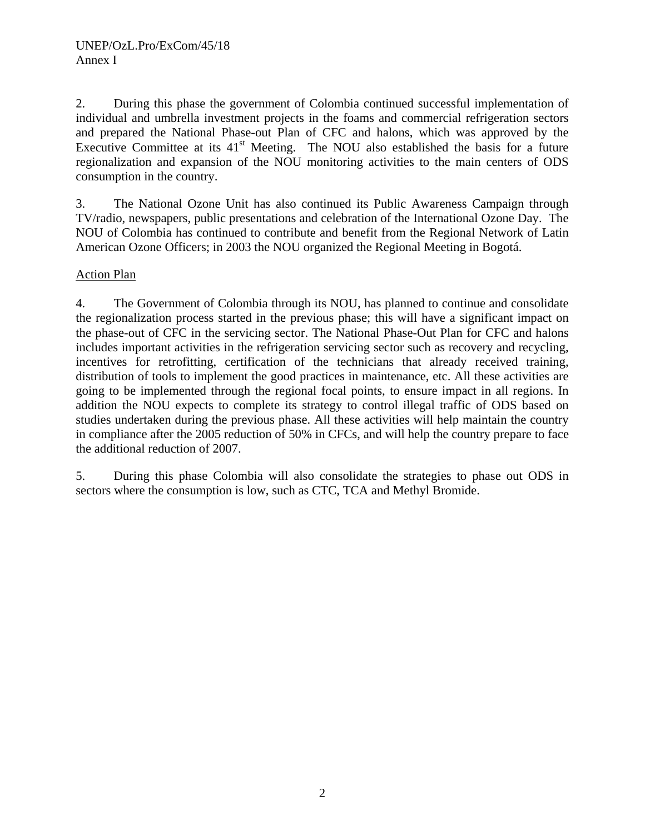2. During this phase the government of Colombia continued successful implementation of individual and umbrella investment projects in the foams and commercial refrigeration sectors and prepared the National Phase-out Plan of CFC and halons, which was approved by the Executive Committee at its  $41<sup>st</sup>$  Meeting. The NOU also established the basis for a future regionalization and expansion of the NOU monitoring activities to the main centers of ODS consumption in the country.

3. The National Ozone Unit has also continued its Public Awareness Campaign through TV/radio, newspapers, public presentations and celebration of the International Ozone Day. The NOU of Colombia has continued to contribute and benefit from the Regional Network of Latin American Ozone Officers; in 2003 the NOU organized the Regional Meeting in Bogotá.

#### Action Plan

4. The Government of Colombia through its NOU, has planned to continue and consolidate the regionalization process started in the previous phase; this will have a significant impact on the phase-out of CFC in the servicing sector. The National Phase-Out Plan for CFC and halons includes important activities in the refrigeration servicing sector such as recovery and recycling, incentives for retrofitting, certification of the technicians that already received training, distribution of tools to implement the good practices in maintenance, etc. All these activities are going to be implemented through the regional focal points, to ensure impact in all regions. In addition the NOU expects to complete its strategy to control illegal traffic of ODS based on studies undertaken during the previous phase. All these activities will help maintain the country in compliance after the 2005 reduction of 50% in CFCs, and will help the country prepare to face the additional reduction of 2007.

5. During this phase Colombia will also consolidate the strategies to phase out ODS in sectors where the consumption is low, such as CTC, TCA and Methyl Bromide.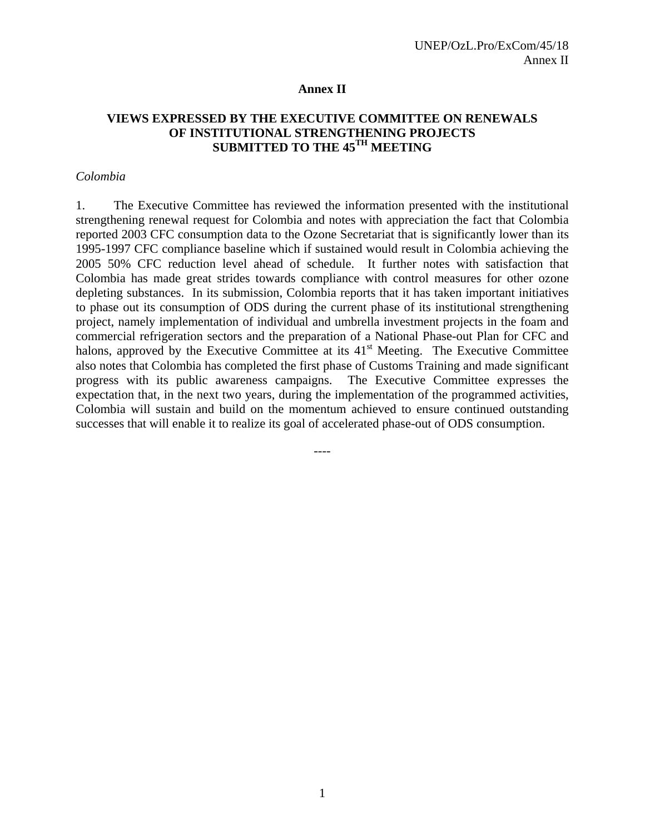#### **Annex II**

#### **VIEWS EXPRESSED BY THE EXECUTIVE COMMITTEE ON RENEWALS OF INSTITUTIONAL STRENGTHENING PROJECTS SUBMITTED TO THE 45TH MEETING**

#### *Colombia*

1. The Executive Committee has reviewed the information presented with the institutional strengthening renewal request for Colombia and notes with appreciation the fact that Colombia reported 2003 CFC consumption data to the Ozone Secretariat that is significantly lower than its 1995-1997 CFC compliance baseline which if sustained would result in Colombia achieving the 2005 50% CFC reduction level ahead of schedule. It further notes with satisfaction that Colombia has made great strides towards compliance with control measures for other ozone depleting substances. In its submission, Colombia reports that it has taken important initiatives to phase out its consumption of ODS during the current phase of its institutional strengthening project, namely implementation of individual and umbrella investment projects in the foam and commercial refrigeration sectors and the preparation of a National Phase-out Plan for CFC and halons, approved by the Executive Committee at its 41<sup>st</sup> Meeting. The Executive Committee also notes that Colombia has completed the first phase of Customs Training and made significant progress with its public awareness campaigns. The Executive Committee expresses the expectation that, in the next two years, during the implementation of the programmed activities, Colombia will sustain and build on the momentum achieved to ensure continued outstanding successes that will enable it to realize its goal of accelerated phase-out of ODS consumption.

----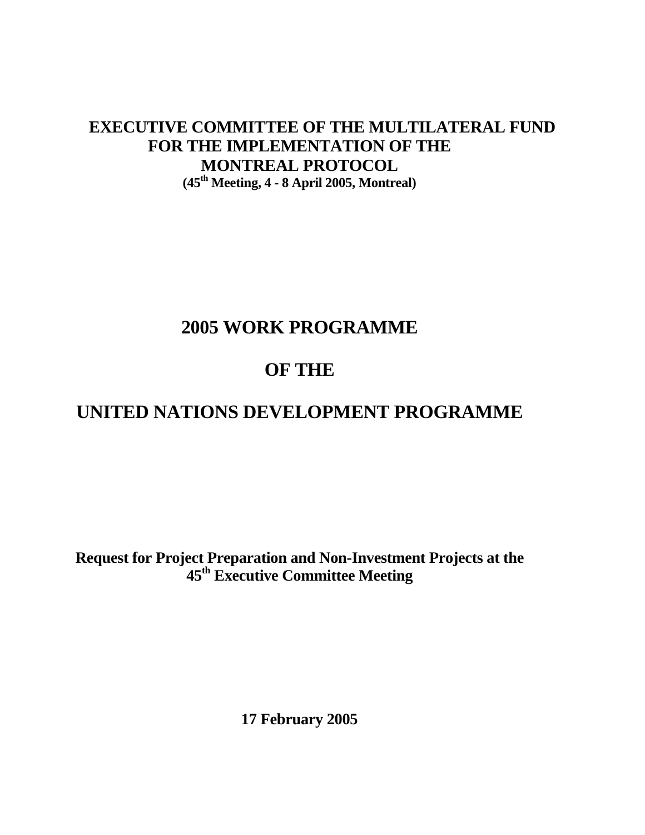# **EXECUTIVE COMMITTEE OF THE MULTILATERAL FUND FOR THE IMPLEMENTATION OF THE MONTREAL PROTOCOL (45th Meeting, 4 - 8 April 2005, Montreal)**

# **2005 WORK PROGRAMME**

# **OF THE**

# **UNITED NATIONS DEVELOPMENT PROGRAMME**

 **Request for Project Preparation and Non-Investment Projects at the 45th Executive Committee Meeting** 

 **17 February 2005**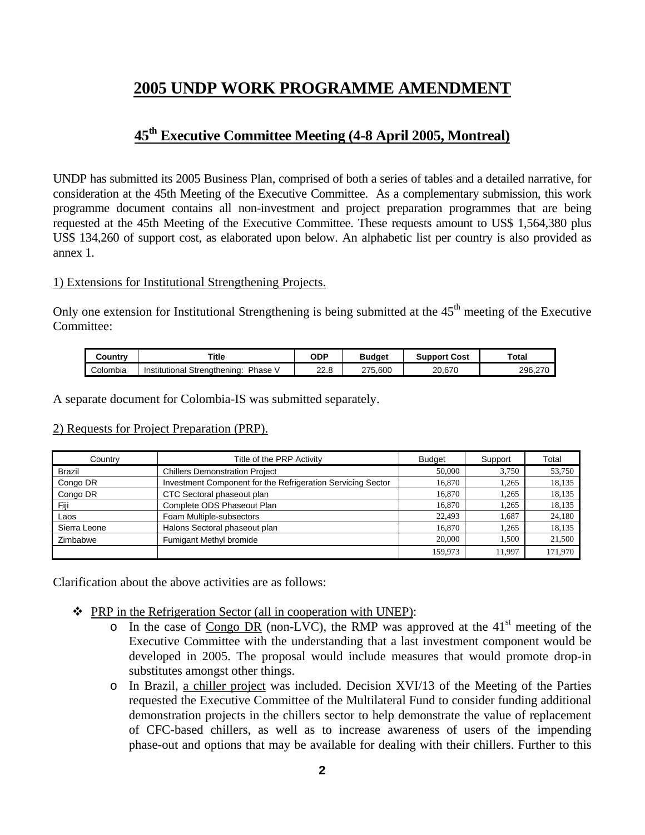# **2005 UNDP WORK PROGRAMME AMENDMENT**

# **45th Executive Committee Meeting (4-8 April 2005, Montreal)**

UNDP has submitted its 2005 Business Plan, comprised of both a series of tables and a detailed narrative, for consideration at the 45th Meeting of the Executive Committee. As a complementary submission, this work programme document contains all non-investment and project preparation programmes that are being requested at the 45th Meeting of the Executive Committee. These requests amount to US\$ 1,564,380 plus US\$ 134,260 of support cost, as elaborated upon below. An alphabetic list per country is also provided as annex 1.

#### 1) Extensions for Institutional Strengthening Projects.

Only one extension for Institutional Strengthening is being submitted at the  $45<sup>th</sup>$  meeting of the Executive Committee:

| ountr∨ٽ  | Title                                    | ODP          | Budaet  | :Cost<br>Support | Total           |
|----------|------------------------------------------|--------------|---------|------------------|-----------------|
| Colombia | Phase<br>Strenathenina:<br>Institutional | ററ റ<br>22.U | 275.600 | 67٬ ،<br>20      | 296.2<br>$\sim$ |

A separate document for Colombia-IS was submitted separately.

#### 2) Requests for Project Preparation (PRP).

| Country       | Title of the PRP Activity                                   | <b>Budget</b> | Support | Total   |
|---------------|-------------------------------------------------------------|---------------|---------|---------|
| <b>Brazil</b> | <b>Chillers Demonstration Project</b>                       | 50,000        | 3.750   | 53,750  |
| Congo DR      | Investment Component for the Refrigeration Servicing Sector | 16,870        | 1.265   | 18,135  |
| Congo DR      | CTC Sectoral phaseout plan                                  | 16.870        | 1.265   | 18,135  |
| Fiji          | Complete ODS Phaseout Plan                                  | 16.870        | 1.265   | 18,135  |
| Laos          | Foam Multiple-subsectors                                    | 22,493        | 1.687   | 24.180  |
| Sierra Leone  | Halons Sectoral phaseout plan                               | 16.870        | 1.265   | 18,135  |
| Zimbabwe      | Fumigant Methyl bromide                                     | 20,000        | 1.500   | 21,500  |
|               |                                                             | 159,973       | 11.997  | 171.970 |

Clarification about the above activities are as follows:

- PRP in the Refrigeration Sector (all in cooperation with UNEP):
	- $\circ$  In the case of Congo DR (non-LVC), the RMP was approved at the 41<sup>st</sup> meeting of the Executive Committee with the understanding that a last investment component would be developed in 2005. The proposal would include measures that would promote drop-in substitutes amongst other things.
	- o In Brazil, a chiller project was included. Decision XVI/13 of the Meeting of the Parties requested the Executive Committee of the Multilateral Fund to consider funding additional demonstration projects in the chillers sector to help demonstrate the value of replacement of CFC-based chillers, as well as to increase awareness of users of the impending phase-out and options that may be available for dealing with their chillers. Further to this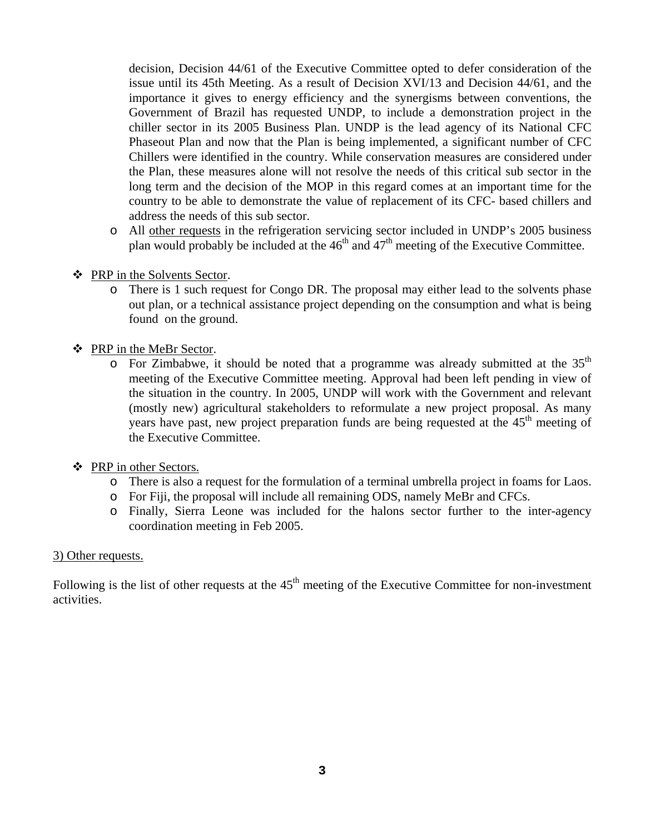decision, Decision 44/61 of the Executive Committee opted to defer consideration of the issue until its 45th Meeting. As a result of Decision XVI/13 and Decision 44/61, and the importance it gives to energy efficiency and the synergisms between conventions, the Government of Brazil has requested UNDP, to include a demonstration project in the chiller sector in its 2005 Business Plan. UNDP is the lead agency of its National CFC Phaseout Plan and now that the Plan is being implemented, a significant number of CFC Chillers were identified in the country. While conservation measures are considered under the Plan, these measures alone will not resolve the needs of this critical sub sector in the long term and the decision of the MOP in this regard comes at an important time for the country to be able to demonstrate the value of replacement of its CFC- based chillers and address the needs of this sub sector.

- o All other requests in the refrigeration servicing sector included in UNDP's 2005 business plan would probably be included at the  $46<sup>th</sup>$  and  $47<sup>th</sup>$  meeting of the Executive Committee.
- PRP in the Solvents Sector.
	- o There is 1 such request for Congo DR. The proposal may either lead to the solvents phase out plan, or a technical assistance project depending on the consumption and what is being found on the ground.
- PRP in the MeBr Sector.
	- $\circ$  For Zimbabwe, it should be noted that a programme was already submitted at the 35<sup>th</sup> meeting of the Executive Committee meeting. Approval had been left pending in view of the situation in the country. In 2005, UNDP will work with the Government and relevant (mostly new) agricultural stakeholders to reformulate a new project proposal. As many years have past, new project preparation funds are being requested at the 45<sup>th</sup> meeting of the Executive Committee.
- ❖ PRP in other Sectors.
	- o There is also a request for the formulation of a terminal umbrella project in foams for Laos.
	- o For Fiji, the proposal will include all remaining ODS, namely MeBr and CFCs.
	- o Finally, Sierra Leone was included for the halons sector further to the inter-agency coordination meeting in Feb 2005.

#### 3) Other requests.

Following is the list of other requests at the  $45<sup>th</sup>$  meeting of the Executive Committee for non-investment activities.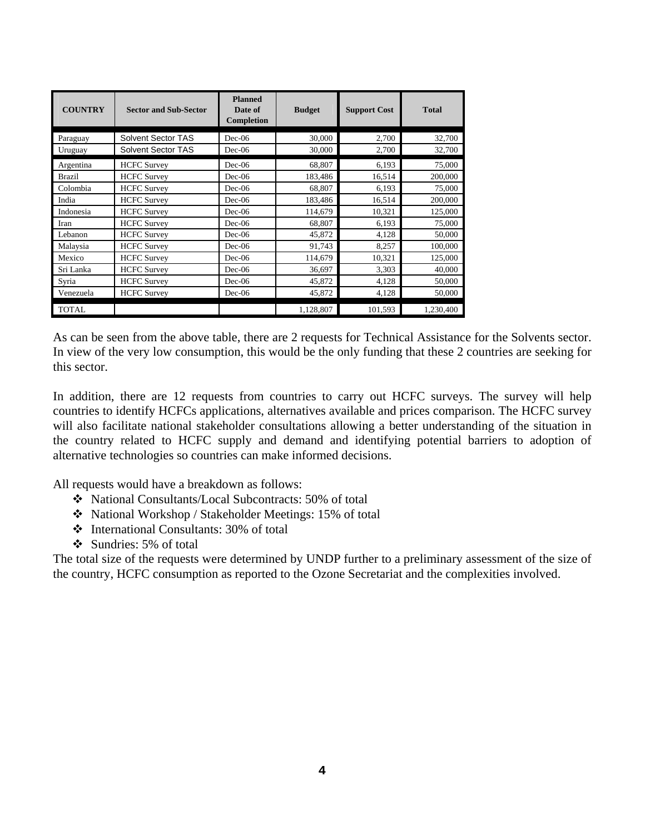| <b>COUNTRY</b> | <b>Sector and Sub-Sector</b> | <b>Planned</b><br>Date of<br>Completion | <b>Budget</b> | <b>Support Cost</b> | <b>Total</b> |
|----------------|------------------------------|-----------------------------------------|---------------|---------------------|--------------|
| Paraguay       | Solvent Sector TAS           | $Dec-06$                                | 30,000        | 2,700               | 32,700       |
| Uruguay        | Solvent Sector TAS           | $Dec-06$                                | 30,000        | 2,700               | 32,700       |
| Argentina      | <b>HCFC</b> Survey           | $Dec-06$                                | 68,807        | 6,193               | 75,000       |
| <b>Brazil</b>  | <b>HCFC</b> Survey           | $Dec-06$                                | 183,486       | 16,514              | 200,000      |
| Colombia       | <b>HCFC</b> Survey           | $Dec-06$                                | 68,807        | 6,193               | 75,000       |
| India          | <b>HCFC Survey</b>           | $Dec-06$                                | 183,486       | 16,514              | 200,000      |
| Indonesia      | <b>HCFC Survey</b>           | $Dec-06$                                | 114,679       | 10.321              | 125,000      |
| Iran           | <b>HCFC Survey</b>           | $Dec-06$                                | 68.807        | 6.193               | 75,000       |
| Lebanon        | <b>HCFC Survey</b>           | $Dec-06$                                | 45,872        | 4,128               | 50,000       |
| Malaysia       | <b>HCFC</b> Survey           | $Dec-06$                                | 91,743        | 8,257               | 100,000      |
| Mexico         | <b>HCFC</b> Survey           | $Dec-06$                                | 114,679       | 10,321              | 125,000      |
| Sri Lanka      | <b>HCFC</b> Survey           | $Dec-06$                                | 36.697        | 3.303               | 40,000       |
| Syria          | <b>HCFC Survey</b>           | $Dec-06$                                | 45,872        | 4,128               | 50,000       |
| Venezuela      | <b>HCFC</b> Survey           | $Dec-06$                                | 45,872        | 4,128               | 50,000       |
| <b>TOTAL</b>   |                              |                                         | 1,128,807     | 101,593             | 1,230,400    |

As can be seen from the above table, there are 2 requests for Technical Assistance for the Solvents sector. In view of the very low consumption, this would be the only funding that these 2 countries are seeking for this sector.

In addition, there are 12 requests from countries to carry out HCFC surveys. The survey will help countries to identify HCFCs applications, alternatives available and prices comparison. The HCFC survey will also facilitate national stakeholder consultations allowing a better understanding of the situation in the country related to HCFC supply and demand and identifying potential barriers to adoption of alternative technologies so countries can make informed decisions.

All requests would have a breakdown as follows:

- National Consultants/Local Subcontracts: 50% of total
- National Workshop / Stakeholder Meetings: 15% of total
- International Consultants: 30% of total
- Sundries: 5% of total

The total size of the requests were determined by UNDP further to a preliminary assessment of the size of the country, HCFC consumption as reported to the Ozone Secretariat and the complexities involved.